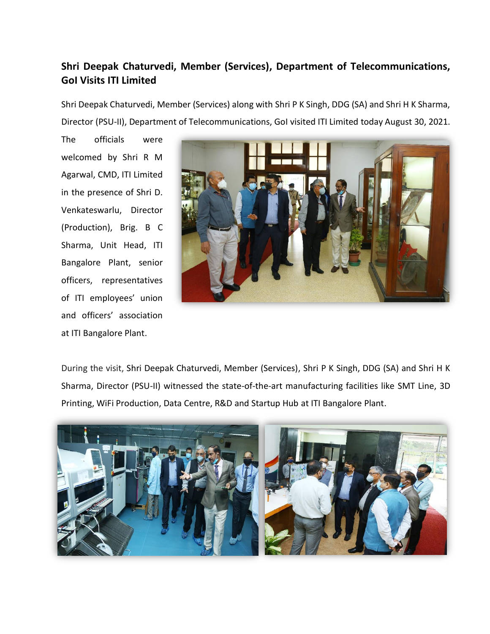## **Shri Deepak Chaturvedi, Member (Services), Department of Telecommunications, GoI Visits ITI Limited**

Shri Deepak Chaturvedi, Member (Services) along with Shri P K Singh, DDG (SA) and Shri H K Sharma, Director (PSU-II), Department of Telecommunications, GoI visited ITI Limited today August 30, 2021.

The officials were welcomed by Shri R M Agarwal, CMD, ITI Limited in the presence of Shri D. Venkateswarlu, Director (Production), Brig. B C Sharma, Unit Head, ITI Bangalore Plant, senior officers, representatives of ITI employees' union and officers' association at ITI Bangalore Plant.



During the visit, Shri Deepak Chaturvedi, Member (Services), Shri P K Singh, DDG (SA) and Shri H K Sharma, Director (PSU-II) witnessed the state-of-the-art manufacturing facilities like SMT Line, 3D Printing, WiFi Production, Data Centre, R&D and Startup Hub at ITI Bangalore Plant.